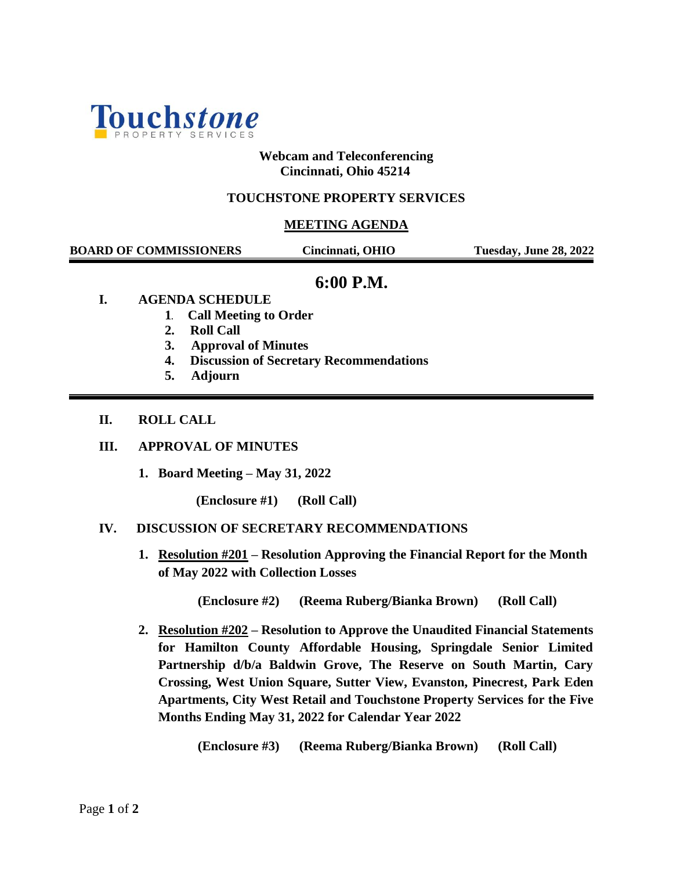

### **Webcam and Teleconferencing Cincinnati, Ohio 45214**

## **TOUCHSTONE PROPERTY SERVICES**

### **MEETING AGENDA**

 **BOARD OF COMMISSIONERS Cincinnati, OHIO Tuesday, June 28, 2022**

# **6:00 P.M.**

- **I. AGENDA SCHEDULE**
	- **1. Call Meeting to Order**
	- **2. Roll Call**
	- **3. Approval of Minutes**
	- **4. Discussion of Secretary Recommendations**
	- **5. Adjourn**

### **II. ROLL CALL**

#### **III. APPROVAL OF MINUTES**

**1. Board Meeting – May 31, 2022**

**(Enclosure #1) (Roll Call)**

#### **IV. DISCUSSION OF SECRETARY RECOMMENDATIONS**

**1. Resolution #201 – Resolution Approving the Financial Report for the Month of May 2022 with Collection Losses**

**(Enclosure #2) (Reema Ruberg/Bianka Brown) (Roll Call)**

**2. Resolution #202 – Resolution to Approve the Unaudited Financial Statements for Hamilton County Affordable Housing, Springdale Senior Limited Partnership d/b/a Baldwin Grove, The Reserve on South Martin, Cary Crossing, West Union Square, Sutter View, Evanston, Pinecrest, Park Eden Apartments, City West Retail and Touchstone Property Services for the Five Months Ending May 31, 2022 for Calendar Year 2022**

**(Enclosure #3) (Reema Ruberg/Bianka Brown) (Roll Call)**